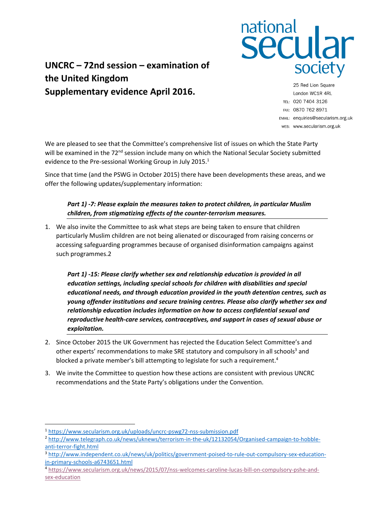

## **UNCRC – 72nd session – examination of the United Kingdom Supplementary evidence April 2016.**

25 Red Lion Square London WC1R 4RL TEL: 020 7404 3126 FAX: 0870 762 8971 EMAIL: enquiries@secularism.org.uk WEB: www.secularism.org.uk

We are pleased to see that the Committee's comprehensive list of issues on which the State Party will be examined in the  $72<sup>nd</sup>$  session include many on which the National Secular Society submitted evidence to the Pre-sessional Working Group in July 2015. 1

Since that time (and the PSWG in October 2015) there have been developments these areas, and we offer the following updates/supplementary information:

## *Part 1) -7: Please explain the measures taken to protect children, in particular Muslim children, from stigmatizing effects of the counter-terrorism measures.*

1. We also invite the Committee to ask what steps are being taken to ensure that children particularly Muslim children are not being alienated or discouraged from raising concerns or accessing safeguarding programmes because of organised disinformation campaigns against such programmes.2

*Part 1) -15: Please clarify whether sex and relationship education is provided in all education settings, including special schools for children with disabilities and special educational needs, and through education provided in the youth detention centres, such as young offender institutions and secure training centres. Please also clarify whether sex and relationship education includes information on how to access confidential sexual and reproductive health-care services, contraceptives, and support in cases of sexual abuse or exploitation.*

- 2. Since October 2015 the UK Government has rejected the Education Select Committee's and other experts' recommendations to make SRE statutory and compulsory in all schools<sup>3</sup> and blocked a private member's bill attempting to legislate for such a requirement.<sup>4</sup>
- 3. We invite the Committee to question how these actions are consistent with previous UNCRC recommendations and the State Party's obligations under the Convention.

 $\overline{a}$ 

<sup>1</sup> <https://www.secularism.org.uk/uploads/uncrc-pswg72-nss-submission.pdf>

<sup>2</sup> [http://www.telegraph.co.uk/news/uknews/terrorism-in-the-uk/12132054/Organised-campaign-to-hobble](http://www.telegraph.co.uk/news/uknews/terrorism-in-the-uk/12132054/Organised-campaign-to-hobble-anti-terror-fight.html)[anti-terror-fight.html](http://www.telegraph.co.uk/news/uknews/terrorism-in-the-uk/12132054/Organised-campaign-to-hobble-anti-terror-fight.html)

<sup>&</sup>lt;sup>3</sup> [http://www.independent.co.uk/news/uk/politics/government-poised-to-rule-out-compulsory-sex-education](http://www.independent.co.uk/news/uk/politics/government-poised-to-rule-out-compulsory-sex-education-in-primary-schools-a6743651.html)[in-primary-schools-a6743651.html](http://www.independent.co.uk/news/uk/politics/government-poised-to-rule-out-compulsory-sex-education-in-primary-schools-a6743651.html)

<sup>4</sup> [https://www.secularism.org.uk/news/2015/07/nss-welcomes-caroline-lucas-bill-on-compulsory-pshe-and](https://www.secularism.org.uk/news/2015/07/nss-welcomes-caroline-lucas-bill-on-compulsory-pshe-and-sex-education)[sex-education](https://www.secularism.org.uk/news/2015/07/nss-welcomes-caroline-lucas-bill-on-compulsory-pshe-and-sex-education)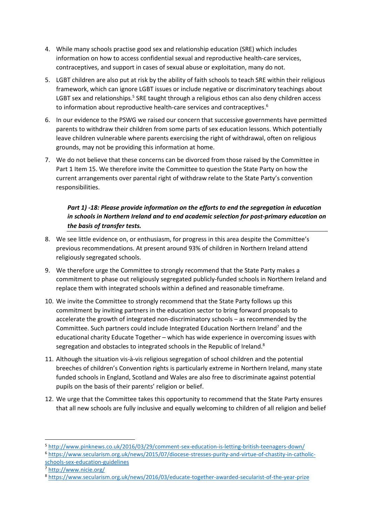- 4. While many schools practise good sex and relationship education (SRE) which includes information on how to access confidential sexual and reproductive health-care services, contraceptives, and support in cases of sexual abuse or exploitation, many do not.
- 5. LGBT children are also put at risk by the ability of faith schools to teach SRE within their religious framework, which can ignore LGBT issues or include negative or discriminatory teachings about LGBT sex and relationships.<sup>5</sup> SRE taught through a religious ethos can also deny children access to information about reproductive health-care services and contraceptives. 6
- 6. In our evidence to the PSWG we raised our concern that successive governments have permitted parents to withdraw their children from some parts of sex education lessons. Which potentially leave children vulnerable where parents exercising the right of withdrawal, often on religious grounds, may not be providing this information at home.
- 7. We do not believe that these concerns can be divorced from those raised by the Committee in Part 1 Item 15. We therefore invite the Committee to question the State Party on how the current arrangements over parental right of withdraw relate to the State Party's convention responsibilities.

## *Part 1) -18: Please provide information on the efforts to end the segregation in education in schools in Northern Ireland and to end academic selection for post-primary education on the basis of transfer tests.*

- 8. We see little evidence on, or enthusiasm, for progress in this area despite the Committee's previous recommendations. At present around 93% of children in Northern Ireland attend religiously segregated schools.
- 9. We therefore urge the Committee to strongly recommend that the State Party makes a commitment to phase out religiously segregated publicly-funded schools in Northern Ireland and replace them with integrated schools within a defined and reasonable timeframe.
- 10. We invite the Committee to strongly recommend that the State Party follows up this commitment by inviting partners in the education sector to bring forward proposals to accelerate the growth of integrated non-discriminatory schools – as recommended by the Committee. Such partners could include Integrated Education Northern Ireland<sup>7</sup> and the educational charity Educate Together – which has wide experience in overcoming issues with segregation and obstacles to integrated schools in the Republic of Ireland.<sup>8</sup>
- 11. Although the situation vis-à-vis religious segregation of school children and the potential breeches of children's Convention rights is particularly extreme in Northern Ireland, many state funded schools in England, Scotland and Wales are also free to discriminate against potential pupils on the basis of their parents' religion or belief.
- 12. We urge that the Committee takes this opportunity to recommend that the State Party ensures that all new schools are fully inclusive and equally welcoming to children of all religion and belief

 $\overline{a}$ 

<sup>5</sup> <http://www.pinknews.co.uk/2016/03/29/comment-sex-education-is-letting-british-teenagers-down/>

<sup>6</sup> [https://www.secularism.org.uk/news/2015/07/diocese-stresses-purity-and-virtue-of-chastity-in-catholic](https://www.secularism.org.uk/news/2015/07/diocese-stresses-purity-and-virtue-of-chastity-in-catholic-schools-sex-education-guidelines)[schools-sex-education-guidelines](https://www.secularism.org.uk/news/2015/07/diocese-stresses-purity-and-virtue-of-chastity-in-catholic-schools-sex-education-guidelines)

<sup>7</sup> <http://www.nicie.org/>

<sup>8</sup> <https://www.secularism.org.uk/news/2016/03/educate-together-awarded-secularist-of-the-year-prize>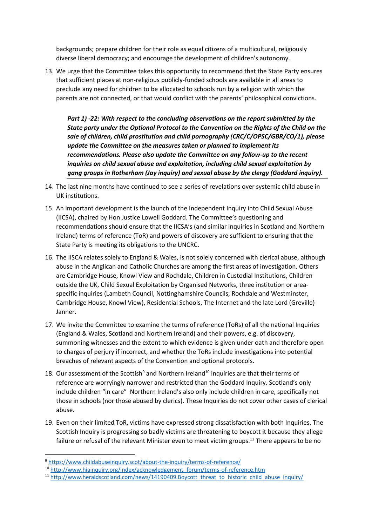backgrounds; prepare children for their role as equal citizens of a multicultural, religiously diverse liberal democracy; and encourage the development of children's autonomy.

13. We urge that the Committee takes this opportunity to recommend that the State Party ensures that sufficient places at non-religious publicly-funded schools are available in all areas to preclude any need for children to be allocated to schools run by a religion with which the parents are not connected, or that would conflict with the parents' philosophical convictions.

*Part 1) -22: With respect to the concluding observations on the report submitted by the State party under the Optional Protocol to the Convention on the Rights of the Child on the sale of children, child prostitution and child pornography (CRC/C/OPSC/GBR/CO/1), please update the Committee on the measures taken or planned to implement its recommendations. Please also update the Committee on any follow-up to the recent inquiries on child sexual abuse and exploitation, including child sexual exploitation by gang groups in Rotherham (Jay inquiry) and sexual abuse by the clergy (Goddard inquiry).*

- 14. The last nine months have continued to see a series of revelations over systemic child abuse in UK institutions.
- 15. An important development is the launch of the Independent Inquiry into Child Sexual Abuse (IICSA), chaired by Hon Justice Lowell Goddard. The Committee's questioning and recommendations should ensure that the IICSA's (and similar inquiries in Scotland and Northern Ireland) terms of reference (ToR) and powers of discovery are sufficient to ensuring that the State Party is meeting its obligations to the UNCRC.
- 16. The IISCA relates solely to England & Wales, is not solely concerned with clerical abuse, although abuse in the Anglican and Catholic Churches are among the first areas of investigation. Others are Cambridge House, Knowl View and Rochdale, Children in Custodial Institutions, Children outside the UK, Child Sexual Exploitation by Organised Networks, three institution or areaspecific inquiries (Lambeth Council, Nottinghamshire Councils, Rochdale and Westminster, Cambridge House, Knowl View), Residential Schools, The Internet and the late Lord (Greville) Janner.
- 17. We invite the Committee to examine the terms of reference (ToRs) of all the national Inquiries (England & Wales, Scotland and Northern Ireland) and their powers, e.g. of discovery, summoning witnesses and the extent to which evidence is given under oath and therefore open to charges of perjury if incorrect, and whether the ToRs include investigations into potential breaches of relevant aspects of the Convention and optional protocols.
- 18. Our assessment of the Scottish $9$  and Northern Ireland<sup>10</sup> inquiries are that their terms of reference are worryingly narrower and restricted than the Goddard Inquiry. Scotland's only include children "in care" Northern Ireland's also only include children in care, specifically not those in schools (nor those abused by clerics). These Inquiries do not cover other cases of clerical abuse.
- 19. Even on their limited ToR, victims have expressed strong dissatisfaction with both Inquiries. The Scottish Inquiry is progressing so badly victims are threatening to boycott it because they allege failure or refusal of the relevant Minister even to meet victim groups.<sup>11</sup> There appears to be no

**.** 

<sup>9</sup> <https://www.childabuseinquiry.scot/about-the-inquiry/terms-of-reference/>

<sup>10</sup> [http://www.hiainquiry.org/index/acknowledgement\\_forum/terms-of-reference.htm](http://www.hiainquiry.org/index/acknowledgement_forum/terms-of-reference.htm)

<sup>&</sup>lt;sup>11</sup> [http://www.heraldscotland.com/news/14190409.Boycott\\_threat\\_to\\_historic\\_child\\_abuse\\_inquiry/](http://www.heraldscotland.com/news/14190409.Boycott_threat_to_historic_child_abuse_inquiry/)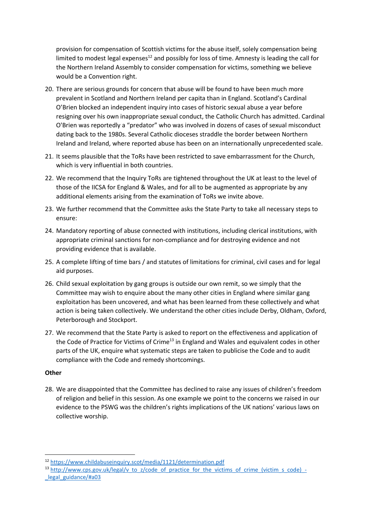provision for compensation of Scottish victims for the abuse itself, solely compensation being limited to modest legal expenses<sup>12</sup> and possibly for loss of time. Amnesty is leading the call for the Northern Ireland Assembly to consider compensation for victims, something we believe would be a Convention right.

- 20. There are serious grounds for concern that abuse will be found to have been much more prevalent in Scotland and Northern Ireland per capita than in England. Scotland's Cardinal O'Brien blocked an independent inquiry into cases of historic sexual abuse a year before resigning over his own inappropriate sexual conduct, the Catholic Church has admitted. Cardinal O'Brien was reportedly a "predator" who was involved in dozens of cases of sexual misconduct dating back to the 1980s. Several Catholic dioceses straddle the border between Northern Ireland and Ireland, where reported abuse has been on an internationally unprecedented scale.
- 21. It seems plausible that the ToRs have been restricted to save embarrassment for the Church, which is very influential in both countries.
- 22. We recommend that the Inquiry ToRs are tightened throughout the UK at least to the level of those of the IICSA for England & Wales, and for all to be augmented as appropriate by any additional elements arising from the examination of ToRs we invite above.
- 23. We further recommend that the Committee asks the State Party to take all necessary steps to ensure:
- 24. Mandatory reporting of abuse connected with institutions, including clerical institutions, with appropriate criminal sanctions for non-compliance and for destroying evidence and not providing evidence that is available.
- 25. A complete lifting of time bars / and statutes of limitations for criminal, civil cases and for legal aid purposes.
- 26. Child sexual exploitation by gang groups is outside our own remit, so we simply that the Committee may wish to enquire about the many other cities in England where similar gang exploitation has been uncovered, and what has been learned from these collectively and what action is being taken collectively. We understand the other cities include Derby, Oldham, Oxford, Peterborough and Stockport.
- 27. We recommend that the State Party is asked to report on the effectiveness and application of the Code of Practice for Victims of Crime<sup>13</sup> in England and Wales and equivalent codes in other parts of the UK, enquire what systematic steps are taken to publicise the Code and to audit compliance with the Code and remedy shortcomings.

## **Other**

**.** 

28. We are disappointed that the Committee has declined to raise any issues of children's freedom of religion and belief in this session. As one example we point to the concerns we raised in our evidence to the PSWG was the children's rights implications of the UK nations' various laws on collective worship.

<sup>12</sup> <https://www.childabuseinquiry.scot/media/1121/determination.pdf>

<sup>13</sup> [http://www.cps.gov.uk/legal/v\\_to\\_z/code\\_of\\_practice\\_for\\_the\\_victims\\_of\\_crime\\_\(victim\\_s\\_code\)\\_-](http://www.cps.gov.uk/legal/v_to_z/code_of_practice_for_the_victims_of_crime_(victim_s_code)_-_legal_guidance/#a03) [\\_legal\\_guidance/#a03](http://www.cps.gov.uk/legal/v_to_z/code_of_practice_for_the_victims_of_crime_(victim_s_code)_-_legal_guidance/#a03)